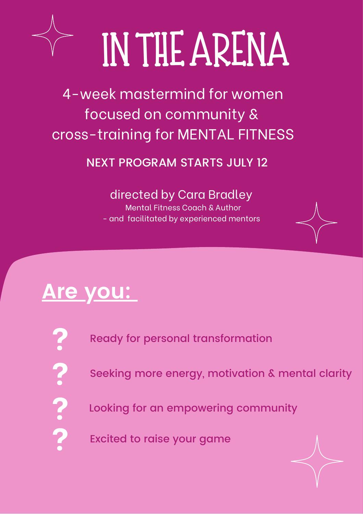# **INTHEARENA**

4-week mastermind for women focused on community & cross-training for MENTAL FITNESS

NEXT PROGRAM STARTS JULY 12

directed by Cara Bradley Mental Fitness Coach & Author

- and facilitated by experienced mentors

### **Are you:**

**P. C. C. C.** 

Ready for personal transformation

Seeking more energy, motivation & mental clarity

Looking for an empowering community

Excited to raise your game

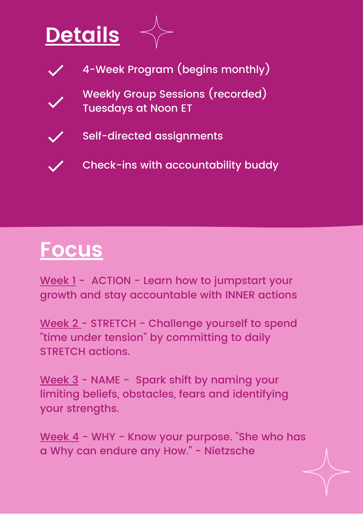





Weekly Group Sessions (recorded) Tuesdays at Noon ET

Self-directed assignments

Check-ins with accountability buddy

#### **Focus**

Week 1 - ACTION - Learn how to jumpstart your growth and stay accountable with INNER actions

Week 2 - STRETCH - Challenge yourself to spend "time under tension" by committing to daily STRETCH actions.

Week 3 - NAME - Spark shift by naming your limiting beliefs, obstacles, fears and identifying your strengths.

Week 4 - WHY - Know your purpose. "She who has a Why can endure any How." - Nietzsche